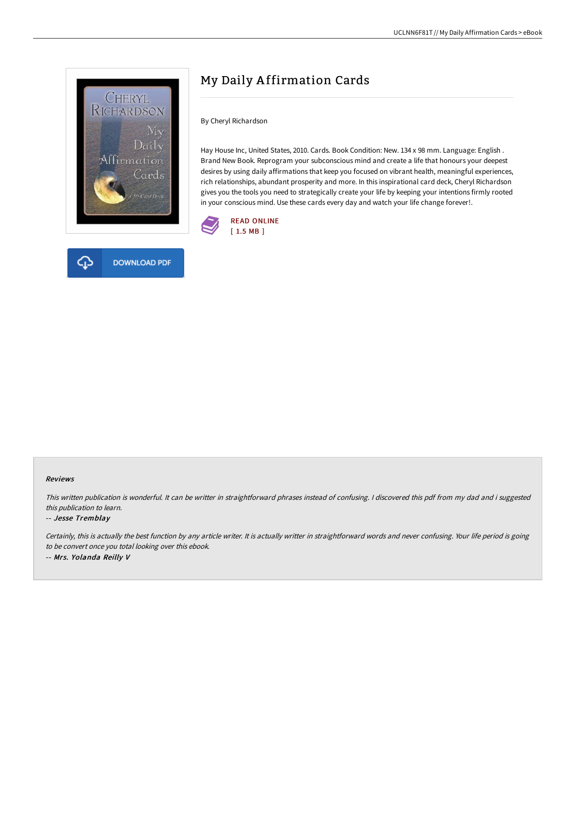

**DOWNLOAD PDF** 

# My Daily A ffirmation Cards

By Cheryl Richardson

Hay House Inc, United States, 2010. Cards. Book Condition: New. 134 x 98 mm. Language: English . Brand New Book. Reprogram your subconscious mind and create a life that honours your deepest desires by using daily affirmations that keep you focused on vibrant health, meaningful experiences, rich relationships, abundant prosperity and more. In this inspirational card deck, Cheryl Richardson gives you the tools you need to strategically create your life by keeping your intentions firmly rooted in your conscious mind. Use these cards every day and watch your life change forever!.



### Reviews

This written publication is wonderful. It can be writter in straightforward phrases instead of confusing. <sup>I</sup> discovered this pdf from my dad and i suggested this publication to learn.

### -- Jesse Tremblay

Certainly, this is actually the best function by any article writer. It is actually writter in straightforward words and never confusing. Your life period is going to be convert once you total looking over this ebook. -- Mrs. Yolanda Reilly V